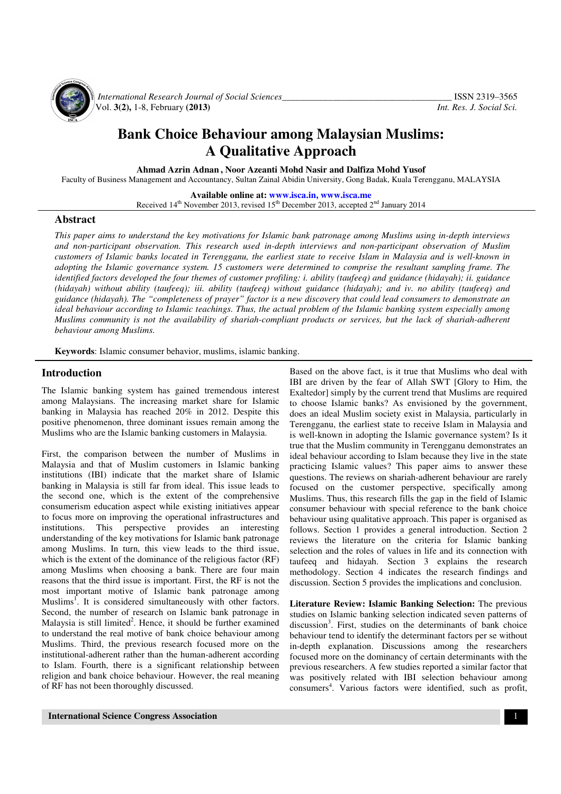

*International Research Journal of Social Sciences*<br>Vol. 3(2), 1-8, February (2013) *Int. Res. J. Social Sci.* Vol. **3(2),** 1-8, February **(2013)** *Int. Res. J. Social Sci.*

# **Bank Choice Behaviour among Malaysian Muslims: A Qualitative Approach**

**Ahmad Azrin Adnan , Noor Azeanti Mohd Nasir and Dalfiza Mohd Yusof** 

Faculty of Business Management and Accountancy, Sultan Zainal Abidin University, Gong Badak, Kuala Terengganu, MALAYSIA

**Available online at: www.isca.in, www.isca.me**

Received 14<sup>th</sup> November 2013, revised 15<sup>th</sup> December 2013, accepted 2<sup>nd</sup> January 2014

## **Abstract**

*This paper aims to understand the key motivations for Islamic bank patronage among Muslims using in-depth interviews and non-participant observation. This research used in-depth interviews and non-participant observation of Muslim customers of Islamic banks located in Terengganu, the earliest state to receive Islam in Malaysia and is well-known in adopting the Islamic governance system. 15 customers were determined to comprise the resultant sampling frame. The identified factors developed the four themes of customer profiling: i. ability (taufeeq) and guidance (hidayah); ii. guidance (hidayah) without ability (taufeeq); iii. ability (taufeeq) without guidance (hidayah); and iv. no ability (taufeeq) and guidance (hidayah). The "completeness of prayer" factor is a new discovery that could lead consumers to demonstrate an ideal behaviour according to Islamic teachings. Thus, the actual problem of the Islamic banking system especially among Muslims community is not the availability of shariah-compliant products or services, but the lack of shariah-adherent behaviour among Muslims.* 

**Keywords**: Islamic consumer behavior, muslims, islamic banking.

### **Introduction**

The Islamic banking system has gained tremendous interest among Malaysians. The increasing market share for Islamic banking in Malaysia has reached 20% in 2012. Despite this positive phenomenon, three dominant issues remain among the Muslims who are the Islamic banking customers in Malaysia.

First, the comparison between the number of Muslims in Malaysia and that of Muslim customers in Islamic banking institutions (IBI) indicate that the market share of Islamic banking in Malaysia is still far from ideal. This issue leads to the second one, which is the extent of the comprehensive consumerism education aspect while existing initiatives appear to focus more on improving the operational infrastructures and institutions. This perspective provides an interesting understanding of the key motivations for Islamic bank patronage among Muslims. In turn, this view leads to the third issue, which is the extent of the dominance of the religious factor (RF) among Muslims when choosing a bank. There are four main reasons that the third issue is important. First, the RF is not the most important motive of Islamic bank patronage among Muslims<sup>1</sup>. It is considered simultaneously with other factors. Second, the number of research on Islamic bank patronage in Malaysia is still limited<sup>2</sup>. Hence, it should be further examined to understand the real motive of bank choice behaviour among Muslims. Third, the previous research focused more on the institutional-adherent rather than the human-adherent according to Islam. Fourth, there is a significant relationship between religion and bank choice behaviour. However, the real meaning of RF has not been thoroughly discussed.

Based on the above fact, is it true that Muslims who deal with IBI are driven by the fear of Allah SWT [Glory to Him, the Exaltedor] simply by the current trend that Muslims are required to choose Islamic banks? As envisioned by the government, does an ideal Muslim society exist in Malaysia, particularly in Terengganu, the earliest state to receive Islam in Malaysia and is well-known in adopting the Islamic governance system? Is it true that the Muslim community in Terengganu demonstrates an ideal behaviour according to Islam because they live in the state practicing Islamic values? This paper aims to answer these questions. The reviews on shariah-adherent behaviour are rarely focused on the customer perspective, specifically among Muslims. Thus, this research fills the gap in the field of Islamic consumer behaviour with special reference to the bank choice behaviour using qualitative approach. This paper is organised as follows. Section 1 provides a general introduction. Section 2 reviews the literature on the criteria for Islamic banking selection and the roles of values in life and its connection with taufeeq and hidayah. Section 3 explains the research methodology. Section 4 indicates the research findings and discussion. Section 5 provides the implications and conclusion.

**Literature Review: Islamic Banking Selection:** The previous studies on Islamic banking selection indicated seven patterns of discussion<sup>3</sup>. First, studies on the determinants of bank choice behaviour tend to identify the determinant factors per se without in-depth explanation. Discussions among the researchers focused more on the dominancy of certain determinants with the previous researchers. A few studies reported a similar factor that was positively related with IBI selection behaviour among consumers<sup>4</sup>. Various factors were identified, such as profit,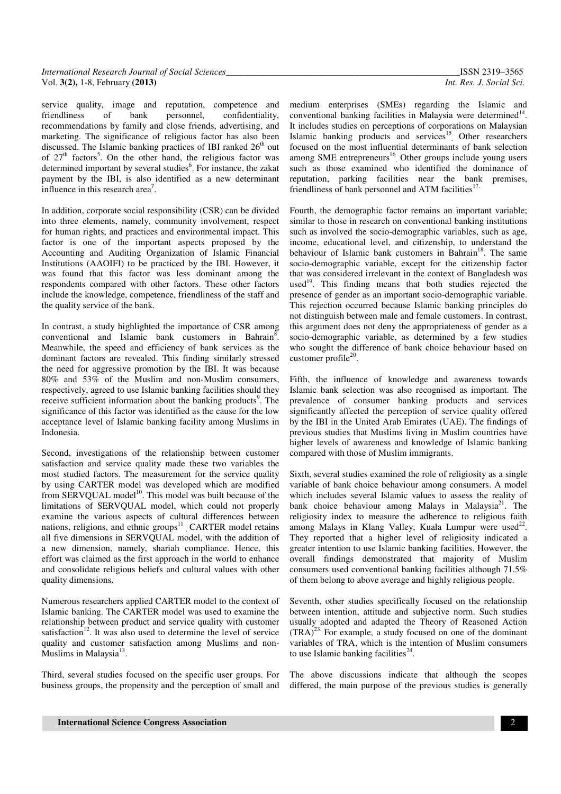| <b>International Research Journal of Social Sciences</b> |  |
|----------------------------------------------------------|--|
| Vol. $3(2)$ , 1-8, February $(2013)$                     |  |

service quality, image and reputation, competence and friendliness of bank personnel, confidentiality, recommendations by family and close friends, advertising, and marketing. The significance of religious factor has also been discussed. The Islamic banking practices of IBI ranked  $26<sup>th</sup>$  out of  $27<sup>th</sup>$  factors<sup>5</sup>. On the other hand, the religious factor was determined important by several studies<sup>6</sup>. For instance, the zakat payment by the IBI, is also identified as a new determinant influence in this research area<sup>7</sup>.

In addition, corporate social responsibility (CSR) can be divided into three elements, namely, community involvement, respect for human rights, and practices and environmental impact. This factor is one of the important aspects proposed by the Accounting and Auditing Organization of Islamic Financial Institutions (AAOIFI) to be practiced by the IBI. However, it was found that this factor was less dominant among the respondents compared with other factors. These other factors include the knowledge, competence, friendliness of the staff and the quality service of the bank.

In contrast, a study highlighted the importance of CSR among conventional and Islamic bank customers in Bahrain<sup>8</sup>. Meanwhile, the speed and efficiency of bank services as the dominant factors are revealed. This finding similarly stressed the need for aggressive promotion by the IBI. It was because 80% and 53% of the Muslim and non-Muslim consumers, respectively, agreed to use Islamic banking facilities should they receive sufficient information about the banking products<sup>9</sup>. The significance of this factor was identified as the cause for the low acceptance level of Islamic banking facility among Muslims in Indonesia.

Second, investigations of the relationship between customer satisfaction and service quality made these two variables the most studied factors. The measurement for the service quality by using CARTER model was developed which are modified from SERVQUAL model<sup>10</sup>. This model was built because of the limitations of SERVQUAL model, which could not properly examine the various aspects of cultural differences between nations, religions, and ethnic groups<sup>11</sup> CARTER model retains all five dimensions in SERVQUAL model, with the addition of a new dimension, namely, shariah compliance. Hence, this effort was claimed as the first approach in the world to enhance and consolidate religious beliefs and cultural values with other quality dimensions.

Numerous researchers applied CARTER model to the context of Islamic banking. The CARTER model was used to examine the relationship between product and service quality with customer satisfaction $12$ . It was also used to determine the level of service quality and customer satisfaction among Muslims and non-Muslims in Malaysia $^{13}$ .

Third, several studies focused on the specific user groups. For business groups, the propensity and the perception of small and medium enterprises (SMEs) regarding the Islamic and conventional banking facilities in Malaysia were determined<sup>14</sup>. It includes studies on perceptions of corporations on Malaysian Islamic banking products and services<sup>15</sup> Other researchers focused on the most influential determinants of bank selection among SME entrepreneurs<sup>16</sup>. Other groups include young users such as those examined who identified the dominance of reputation, parking facilities near the bank premises, friendliness of bank personnel and ATM facilities<sup>17.</sup>

Fourth, the demographic factor remains an important variable; similar to those in research on conventional banking institutions such as involved the socio-demographic variables, such as age, income, educational level, and citizenship, to understand the behaviour of Islamic bank customers in Bahrain<sup>18</sup>. The same socio-demographic variable, except for the citizenship factor that was considered irrelevant in the context of Bangladesh was used<sup>19</sup>. This finding means that both studies rejected the presence of gender as an important socio-demographic variable. This rejection occurred because Islamic banking principles do not distinguish between male and female customers. In contrast, this argument does not deny the appropriateness of gender as a socio-demographic variable, as determined by a few studies who sought the difference of bank choice behaviour based on customer profile<sup>20</sup>.

Fifth, the influence of knowledge and awareness towards Islamic bank selection was also recognised as important. The prevalence of consumer banking products and services significantly affected the perception of service quality offered by the IBI in the United Arab Emirates (UAE). The findings of previous studies that Muslims living in Muslim countries have higher levels of awareness and knowledge of Islamic banking compared with those of Muslim immigrants.

Sixth, several studies examined the role of religiosity as a single variable of bank choice behaviour among consumers. A model which includes several Islamic values to assess the reality of bank choice behaviour among Malays in Malaysia<sup>21</sup>. The religiosity index to measure the adherence to religious faith among Malays in Klang Valley, Kuala Lumpur were used<sup>22</sup>. They reported that a higher level of religiosity indicated a greater intention to use Islamic banking facilities. However, the overall findings demonstrated that majority of Muslim consumers used conventional banking facilities although 71.5% of them belong to above average and highly religious people.

Seventh, other studies specifically focused on the relationship between intention, attitude and subjective norm. Such studies usually adopted and adapted the Theory of Reasoned Action  $(TRA)^{23}$ . For example, a study focused on one of the dominant variables of TRA, which is the intention of Muslim consumers to use Islamic banking facilities $^{24}$ .

The above discussions indicate that although the scopes differed, the main purpose of the previous studies is generally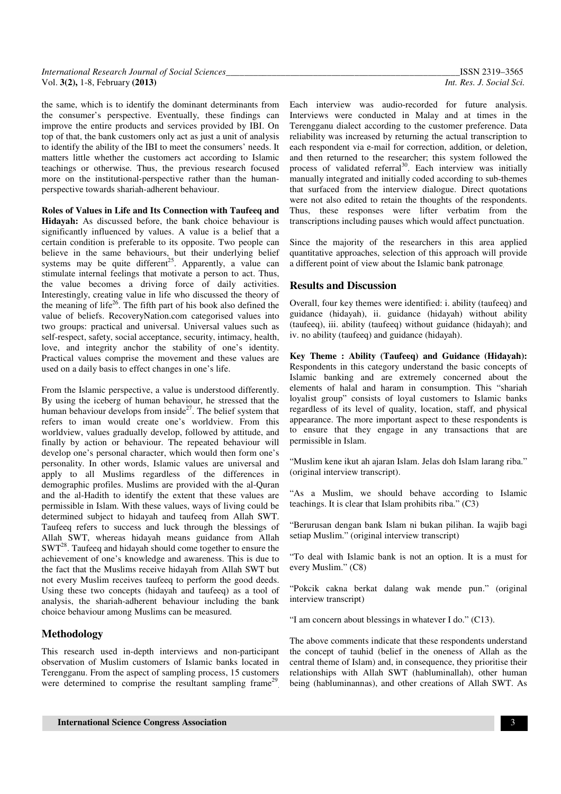the same, which is to identify the dominant determinants from the consumer's perspective. Eventually, these findings can improve the entire products and services provided by IBI. On top of that, the bank customers only act as just a unit of analysis to identify the ability of the IBI to meet the consumers' needs. It matters little whether the customers act according to Islamic teachings or otherwise. Thus, the previous research focused more on the institutional-perspective rather than the humanperspective towards shariah-adherent behaviour.

**Roles of Values in Life and Its Connection with Taufeeq and Hidayah:** As discussed before, the bank choice behaviour is significantly influenced by values. A value is a belief that a certain condition is preferable to its opposite. Two people can believe in the same behaviours, but their underlying belief systems may be quite different<sup>25</sup>. Apparently, a value can stimulate internal feelings that motivate a person to act. Thus, the value becomes a driving force of daily activities. Interestingly, creating value in life who discussed the theory of the meaning of life<sup>26</sup>. The fifth part of his book also defined the value of beliefs. RecoveryNation.com categorised values into two groups: practical and universal. Universal values such as self-respect, safety, social acceptance, security, intimacy, health, love, and integrity anchor the stability of one's identity. Practical values comprise the movement and these values are used on a daily basis to effect changes in one's life.

From the Islamic perspective, a value is understood differently. By using the iceberg of human behaviour, he stressed that the human behaviour develops from inside<sup>27</sup>. The belief system that refers to iman would create one's worldview. From this worldview, values gradually develop, followed by attitude, and finally by action or behaviour. The repeated behaviour will develop one's personal character, which would then form one's personality. In other words, Islamic values are universal and apply to all Muslims regardless of the differences in demographic profiles. Muslims are provided with the al-Quran and the al-Hadith to identify the extent that these values are permissible in Islam. With these values, ways of living could be determined subject to hidayah and taufeeq from Allah SWT. Taufeeq refers to success and luck through the blessings of Allah SWT, whereas hidayah means guidance from Allah  $SWT<sup>28</sup>$ . Taufeeq and hidayah should come together to ensure the achievement of one's knowledge and awareness. This is due to the fact that the Muslims receive hidayah from Allah SWT but not every Muslim receives taufeeq to perform the good deeds. Using these two concepts (hidayah and taufeeq) as a tool of analysis, the shariah-adherent behaviour including the bank choice behaviour among Muslims can be measured.

## **Methodology**

This research used in-depth interviews and non-participant observation of Muslim customers of Islamic banks located in Terengganu. From the aspect of sampling process, 15 customers were determined to comprise the resultant sampling frame<sup>29</sup> .

Each interview was audio-recorded for future analysis. Interviews were conducted in Malay and at times in the Terengganu dialect according to the customer preference. Data reliability was increased by returning the actual transcription to each respondent via e-mail for correction, addition, or deletion, and then returned to the researcher; this system followed the process of validated referral<sup>30</sup>. Each interview was initially manually integrated and initially coded according to sub-themes that surfaced from the interview dialogue. Direct quotations were not also edited to retain the thoughts of the respondents. Thus, these responses were lifter verbatim from the transcriptions including pauses which would affect punctuation.

Since the majority of the researchers in this area applied quantitative approaches, selection of this approach will provide a different point of view about the Islamic bank patronage.

## **Results and Discussion**

Overall, four key themes were identified: i. ability (taufeeq) and guidance (hidayah), ii. guidance (hidayah) without ability (taufeeq), iii. ability (taufeeq) without guidance (hidayah); and iv. no ability (taufeeq) and guidance (hidayah).

**Key Theme : Ability (Taufeeq) and Guidance (Hidayah):**  Respondents in this category understand the basic concepts of Islamic banking and are extremely concerned about the elements of halal and haram in consumption. This "shariah loyalist group" consists of loyal customers to Islamic banks regardless of its level of quality, location, staff, and physical appearance. The more important aspect to these respondents is to ensure that they engage in any transactions that are permissible in Islam.

"Muslim kene ikut ah ajaran Islam. Jelas doh Islam larang riba." (original interview transcript).

"As a Muslim, we should behave according to Islamic teachings. It is clear that Islam prohibits riba." (C3)

"Berurusan dengan bank Islam ni bukan pilihan. Ia wajib bagi setiap Muslim." (original interview transcript)

"To deal with Islamic bank is not an option. It is a must for every Muslim." (C8)

"Pokcik cakna berkat dalang wak mende pun." (original interview transcript)

"I am concern about blessings in whatever I do." (C13).

The above comments indicate that these respondents understand the concept of tauhid (belief in the oneness of Allah as the central theme of Islam) and, in consequence, they prioritise their relationships with Allah SWT (habluminallah), other human being (habluminannas), and other creations of Allah SWT. As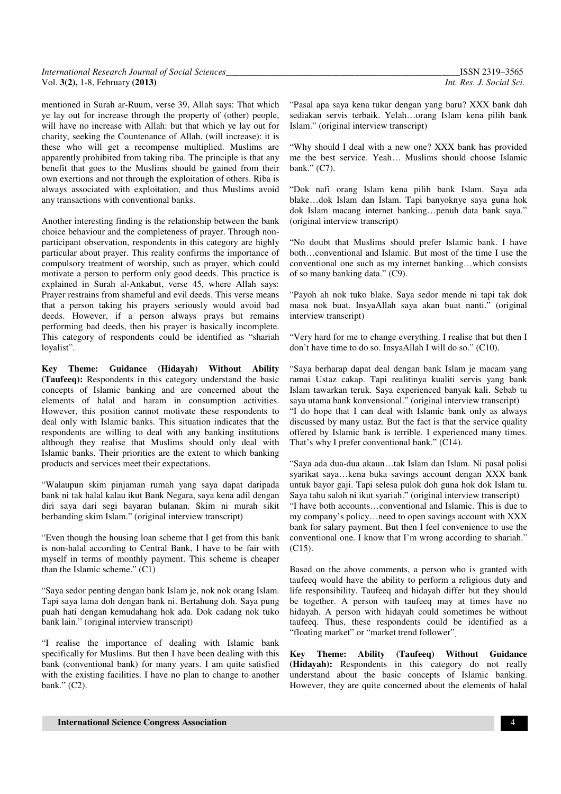| International Research Journal of Social Sciences | ISSN 2319-3565           |
|---------------------------------------------------|--------------------------|
| Vol. 3(2), 1-8, February (2013)                   | Int. Res. J. Social Sci. |

mentioned in Surah ar-Ruum, verse 39, Allah says: That which ye lay out for increase through the property of (other) people, will have no increase with Allah: but that which ye lay out for charity, seeking the Countenance of Allah, (will increase): it is these who will get a recompense multiplied. Muslims are apparently prohibited from taking riba. The principle is that any benefit that goes to the Muslims should be gained from their own exertions and not through the exploitation of others. Riba is always associated with exploitation, and thus Muslims avoid any transactions with conventional banks.

Another interesting finding is the relationship between the bank choice behaviour and the completeness of prayer. Through nonparticipant observation, respondents in this category are highly particular about prayer. This reality confirms the importance of compulsory treatment of worship, such as prayer, which could motivate a person to perform only good deeds. This practice is explained in Surah al-Ankabut, verse 45, where Allah says: Prayer restrains from shameful and evil deeds. This verse means that a person taking his prayers seriously would avoid bad deeds. However, if a person always prays but remains performing bad deeds, then his prayer is basically incomplete. This category of respondents could be identified as "shariah loyalist".

**Key Theme: Guidance (Hidayah) Without Ability (Taufeeq):** Respondents in this category understand the basic concepts of Islamic banking and are concerned about the elements of halal and haram in consumption activities. However, this position cannot motivate these respondents to deal only with Islamic banks. This situation indicates that the respondents are willing to deal with any banking institutions although they realise that Muslims should only deal with Islamic banks. Their priorities are the extent to which banking products and services meet their expectations.

"Walaupun skim pinjaman rumah yang saya dapat daripada bank ni tak halal kalau ikut Bank Negara, saya kena adil dengan diri saya dari segi bayaran bulanan. Skim ni murah sikit berbanding skim Islam." (original interview transcript)

"Even though the housing loan scheme that I get from this bank is non-halal according to Central Bank, I have to be fair with myself in terms of monthly payment. This scheme is cheaper than the Islamic scheme." (C1)

"Saya sedor penting dengan bank Islam je, nok nok orang Islam. Tapi saya lama doh dengan bank ni. Bertahung doh. Saya pung puah hati dengan kemudahang hok ada. Dok cadang nok tuko bank lain." (original interview transcript)

"I realise the importance of dealing with Islamic bank specifically for Muslims. But then I have been dealing with this bank (conventional bank) for many years. I am quite satisfied with the existing facilities. I have no plan to change to another bank." (C2).

"Pasal apa saya kena tukar dengan yang baru? XXX bank dah sediakan servis terbaik. Yelah…orang Islam kena pilih bank Islam." (original interview transcript)

"Why should I deal with a new one? XXX bank has provided me the best service. Yeah… Muslims should choose Islamic bank." (C7).

"Dok nafi orang Islam kena pilih bank Islam. Saya ada blake…dok Islam dan Islam. Tapi banyoknye saya guna hok dok Islam macang internet banking…penuh data bank saya." (original interview transcript)

"No doubt that Muslims should prefer Islamic bank. I have both…conventional and Islamic. But most of the time I use the conventional one such as my internet banking…which consists of so many banking data." (C9).

"Payoh ah nok tuko blake. Saya sedor mende ni tapi tak dok masa nok buat. InsyaAllah saya akan buat nanti." (original interview transcript)

"Very hard for me to change everything. I realise that but then I don't have time to do so. InsyaAllah I will do so." (C10).

"Saya berharap dapat deal dengan bank Islam je macam yang ramai Ustaz cakap. Tapi realitinya kualiti servis yang bank Islam tawarkan teruk. Saya experienced banyak kali. Sebab tu saya utama bank konvensional." (original interview transcript) "I do hope that I can deal with Islamic bank only as always discussed by many ustaz. But the fact is that the service quality offered by Islamic bank is terrible. I experienced many times. That's why I prefer conventional bank." (C14).

"Saya ada dua-dua akaun…tak Islam dan Islam. Ni pasal polisi syarikat saya…kena buka savings account dengan XXX bank untuk bayor gaji. Tapi selesa pulok doh guna hok dok Islam tu. Saya tahu saloh ni ikut syariah." (original interview transcript) "I have both accounts…conventional and Islamic. This is due to my company's policy…need to open savings account with XXX bank for salary payment. But then I feel convenience to use the conventional one. I know that I'm wrong according to shariah." (C15).

Based on the above comments, a person who is granted with taufeeq would have the ability to perform a religious duty and life responsibility. Taufeeq and hidayah differ but they should be together. A person with taufeeq may at times have no hidayah. A person with hidayah could sometimes be without taufeeq. Thus, these respondents could be identified as a "floating market" or "market trend follower".

**Key Theme: Ability (Taufeeq) Without Guidance (Hidayah):** Respondents in this category do not really understand about the basic concepts of Islamic banking. However, they are quite concerned about the elements of halal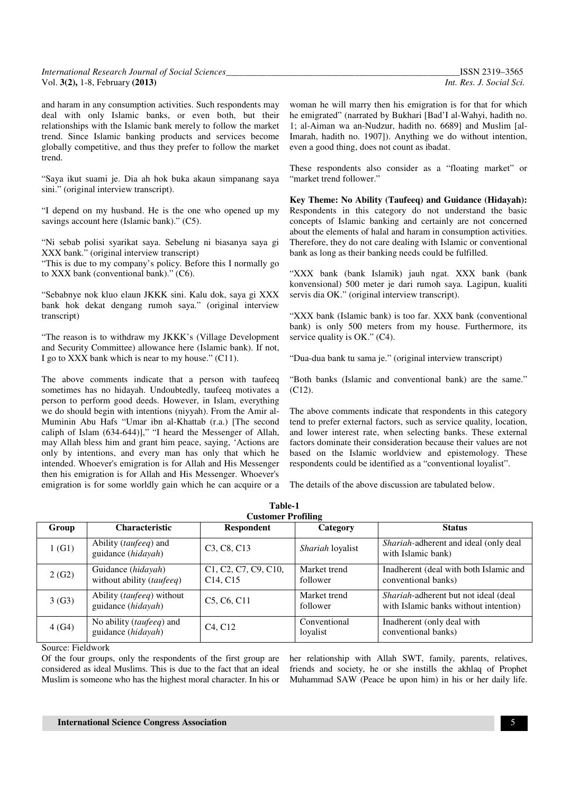| International Research Journal of Social Sciences_ |  |
|----------------------------------------------------|--|
| Vol. 3(2), 1-8, February (2013)                    |  |

*International Research Journal of Social Sciences\_\_\_\_\_\_\_\_\_\_\_\_\_\_\_\_\_\_\_\_\_\_\_\_\_\_\_\_\_\_\_\_\_\_\_\_\_\_\_\_\_\_\_\_\_\_\_\_\_\_\_*ISSN 2319–3565 Int. Res. J. Social Sci.

and haram in any consumption activities. Such respondents may deal with only Islamic banks, or even both, but their relationships with the Islamic bank merely to follow the market trend. Since Islamic banking products and services become globally competitive, and thus they prefer to follow the market trend.

"Saya ikut suami je. Dia ah hok buka akaun simpanang saya sini." (original interview transcript).

"I depend on my husband. He is the one who opened up my savings account here (Islamic bank)." (C5).

"Ni sebab polisi syarikat saya. Sebelung ni biasanya saya gi XXX bank." (original interview transcript)

"This is due to my company's policy. Before this I normally go to XXX bank (conventional bank)." (C6).

"Sebabnye nok kluo elaun JKKK sini. Kalu dok, saya gi XXX bank hok dekat dengang rumoh saya." (original interview transcript)

"The reason is to withdraw my JKKK's (Village Development and Security Committee) allowance here (Islamic bank). If not, I go to XXX bank which is near to my house." (C11).

The above comments indicate that a person with taufeeq sometimes has no hidayah. Undoubtedly, taufeeq motivates a person to perform good deeds. However, in Islam, everything we do should begin with intentions (niyyah). From the Amir al-Muminin Abu Hafs "Umar ibn al-Khattab (r.a.) [The second caliph of Islam (634-644)]," "I heard the Messenger of Allah, may Allah bless him and grant him peace, saying, 'Actions are only by intentions, and every man has only that which he intended. Whoever's emigration is for Allah and His Messenger then his emigration is for Allah and His Messenger. Whoever's emigration is for some worldly gain which he can acquire or a

woman he will marry then his emigration is for that for which he emigrated" (narrated by Bukhari [Bad'I al-Wahyi, hadith no. 1; al-Aiman wa an-Nudzur, hadith no. 6689] and Muslim [al-Imarah, hadith no. 1907]). Anything we do without intention, even a good thing, does not count as ibadat.

These respondents also consider as a "floating market" or "market trend follower."

**Key Theme: No Ability (Taufeeq) and Guidance (Hidayah):**  Respondents in this category do not understand the basic concepts of Islamic banking and certainly are not concerned about the elements of halal and haram in consumption activities. Therefore, they do not care dealing with Islamic or conventional bank as long as their banking needs could be fulfilled.

"XXX bank (bank Islamik) jauh ngat. XXX bank (bank konvensional) 500 meter je dari rumoh saya. Lagipun, kualiti servis dia OK." (original interview transcript).

"XXX bank (Islamic bank) is too far. XXX bank (conventional bank) is only 500 meters from my house. Furthermore, its service quality is OK." (C4).

"Dua-dua bank tu sama je." (original interview transcript)

"Both banks (Islamic and conventional bank) are the same." (C12).

The above comments indicate that respondents in this category tend to prefer external factors, such as service quality, location, and lower interest rate, when selecting banks. These external factors dominate their consideration because their values are not based on the Islamic worldview and epistemology. These respondents could be identified as a "conventional loyalist".

The details of the above discussion are tabulated below.

| Table-1                   |                                                          |                                                           |                          |                                                                                |  |  |
|---------------------------|----------------------------------------------------------|-----------------------------------------------------------|--------------------------|--------------------------------------------------------------------------------|--|--|
| <b>Customer Profiling</b> |                                                          |                                                           |                          |                                                                                |  |  |
| Group                     | <b>Characteristic</b>                                    | <b>Respondent</b>                                         | Category                 | <b>Status</b>                                                                  |  |  |
| 1(G1)                     | Ability (taufeeq) and<br>guidance (hidayah)              | C <sub>3</sub> , C <sub>8</sub> , C <sub>13</sub>         | <i>Shariah</i> loyalist  | Shariah-adherent and ideal (only deal<br>with Islamic bank)                    |  |  |
| 2(G2)                     | Guidance ( <i>hidayah</i> )<br>without ability (taufeeq) | C1, C2, C7, C9, C10,<br>C <sub>14</sub> , C <sub>15</sub> | Market trend<br>follower | Inadherent (deal with both Islamic and<br>conventional banks)                  |  |  |
| 3(G3)                     | Ability (taufeeq) without<br>guidance (hidayah)          | C <sub>5</sub> , C <sub>6</sub> , C <sub>11</sub>         | Market trend<br>follower | Shariah-adherent but not ideal (deal)<br>with Islamic banks without intention) |  |  |
| 4(G4)                     | No ability (taufeeq) and<br>guidance (hidayah)           | C <sub>4</sub> , C <sub>12</sub>                          | Conventional<br>loyalist | Inadherent (only deal with<br>conventional banks)                              |  |  |

Source: Fieldwork

Of the four groups, only the respondents of the first group are considered as ideal Muslims. This is due to the fact that an ideal Muslim is someone who has the highest moral character. In his or

her relationship with Allah SWT, family, parents, relatives, friends and society, he or she instills the akhlaq of Prophet Muhammad SAW (Peace be upon him) in his or her daily life.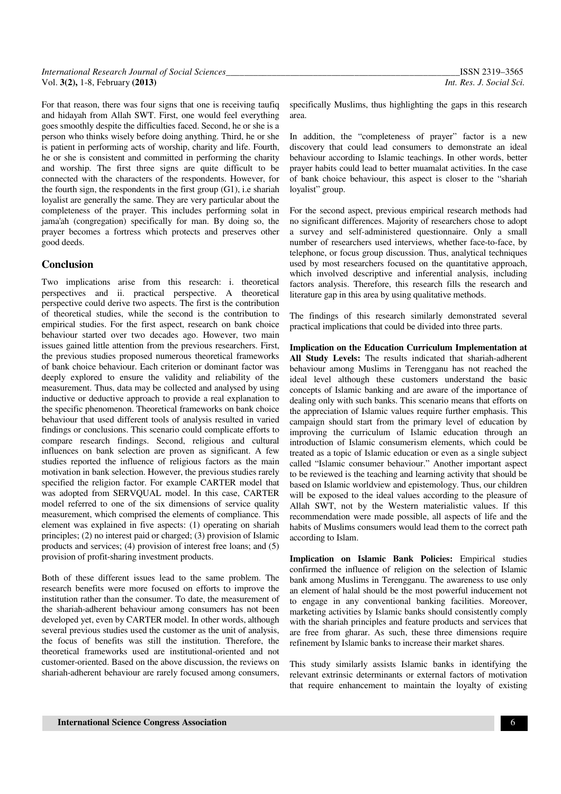| International Research Journal of Social Sciences_ | ISSN 2319-3565           |
|----------------------------------------------------|--------------------------|
| Vol. 3(2), 1-8, February (2013)                    | Int. Res. J. Social Sci. |

For that reason, there was four signs that one is receiving taufiq and hidayah from Allah SWT. First, one would feel everything goes smoothly despite the difficulties faced. Second, he or she is a person who thinks wisely before doing anything. Third, he or she is patient in performing acts of worship, charity and life. Fourth, he or she is consistent and committed in performing the charity and worship. The first three signs are quite difficult to be connected with the characters of the respondents. However, for the fourth sign, the respondents in the first group (G1), i.e shariah loyalist are generally the same. They are very particular about the completeness of the prayer. This includes performing solat in jama'ah (congregation) specifically for man. By doing so, the prayer becomes a fortress which protects and preserves other good deeds.

#### **Conclusion**

Two implications arise from this research: i. theoretical perspectives and ii. practical perspective. A theoretical perspective could derive two aspects. The first is the contribution of theoretical studies, while the second is the contribution to empirical studies. For the first aspect, research on bank choice behaviour started over two decades ago. However, two main issues gained little attention from the previous researchers. First, the previous studies proposed numerous theoretical frameworks of bank choice behaviour. Each criterion or dominant factor was deeply explored to ensure the validity and reliability of the measurement. Thus, data may be collected and analysed by using inductive or deductive approach to provide a real explanation to the specific phenomenon. Theoretical frameworks on bank choice behaviour that used different tools of analysis resulted in varied findings or conclusions. This scenario could complicate efforts to compare research findings. Second, religious and cultural influences on bank selection are proven as significant. A few studies reported the influence of religious factors as the main motivation in bank selection. However, the previous studies rarely specified the religion factor. For example CARTER model that was adopted from SERVQUAL model. In this case, CARTER model referred to one of the six dimensions of service quality measurement, which comprised the elements of compliance. This element was explained in five aspects: (1) operating on shariah principles; (2) no interest paid or charged; (3) provision of Islamic products and services; (4) provision of interest free loans; and (5) provision of profit-sharing investment products.

Both of these different issues lead to the same problem. The research benefits were more focused on efforts to improve the institution rather than the consumer. To date, the measurement of the shariah-adherent behaviour among consumers has not been developed yet, even by CARTER model. In other words, although several previous studies used the customer as the unit of analysis, the focus of benefits was still the institution. Therefore, the theoretical frameworks used are institutional-oriented and not customer-oriented. Based on the above discussion, the reviews on shariah-adherent behaviour are rarely focused among consumers, specifically Muslims, thus highlighting the gaps in this research area.

In addition, the "completeness of prayer" factor is a new discovery that could lead consumers to demonstrate an ideal behaviour according to Islamic teachings. In other words, better prayer habits could lead to better muamalat activities. In the case of bank choice behaviour, this aspect is closer to the "shariah loyalist" group.

For the second aspect, previous empirical research methods had no significant differences. Majority of researchers chose to adopt a survey and self-administered questionnaire. Only a small number of researchers used interviews, whether face-to-face, by telephone, or focus group discussion. Thus, analytical techniques used by most researchers focused on the quantitative approach, which involved descriptive and inferential analysis, including factors analysis. Therefore, this research fills the research and literature gap in this area by using qualitative methods.

The findings of this research similarly demonstrated several practical implications that could be divided into three parts.

**Implication on the Education Curriculum Implementation at All Study Levels:** The results indicated that shariah-adherent behaviour among Muslims in Terengganu has not reached the ideal level although these customers understand the basic concepts of Islamic banking and are aware of the importance of dealing only with such banks. This scenario means that efforts on the appreciation of Islamic values require further emphasis. This campaign should start from the primary level of education by improving the curriculum of Islamic education through an introduction of Islamic consumerism elements, which could be treated as a topic of Islamic education or even as a single subject called "Islamic consumer behaviour." Another important aspect to be reviewed is the teaching and learning activity that should be based on Islamic worldview and epistemology. Thus, our children will be exposed to the ideal values according to the pleasure of Allah SWT, not by the Western materialistic values. If this recommendation were made possible, all aspects of life and the habits of Muslims consumers would lead them to the correct path according to Islam.

**Implication on Islamic Bank Policies:** Empirical studies confirmed the influence of religion on the selection of Islamic bank among Muslims in Terengganu. The awareness to use only an element of halal should be the most powerful inducement not to engage in any conventional banking facilities. Moreover, marketing activities by Islamic banks should consistently comply with the shariah principles and feature products and services that are free from gharar. As such, these three dimensions require refinement by Islamic banks to increase their market shares.

This study similarly assists Islamic banks in identifying the relevant extrinsic determinants or external factors of motivation that require enhancement to maintain the loyalty of existing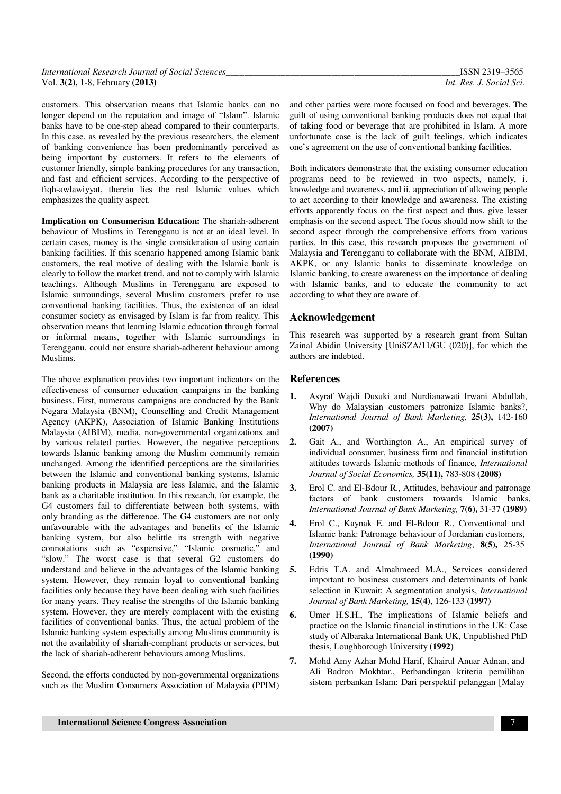| International Research Journal of Social Sciences |  |
|---------------------------------------------------|--|
| Vol. 3(2), 1-8, February (2013)                   |  |

customers. This observation means that Islamic banks can no longer depend on the reputation and image of "Islam". Islamic banks have to be one-step ahead compared to their counterparts. In this case, as revealed by the previous researchers, the element of banking convenience has been predominantly perceived as being important by customers. It refers to the elements of customer friendly, simple banking procedures for any transaction, and fast and efficient services. According to the perspective of fiqh-awlawiyyat, therein lies the real Islamic values which emphasizes the quality aspect.

**Implication on Consumerism Education:** The shariah-adherent behaviour of Muslims in Terengganu is not at an ideal level. In certain cases, money is the single consideration of using certain banking facilities. If this scenario happened among Islamic bank customers, the real motive of dealing with the Islamic bank is clearly to follow the market trend, and not to comply with Islamic teachings. Although Muslims in Terengganu are exposed to Islamic surroundings, several Muslim customers prefer to use conventional banking facilities. Thus, the existence of an ideal consumer society as envisaged by Islam is far from reality. This observation means that learning Islamic education through formal or informal means, together with Islamic surroundings in Terengganu, could not ensure shariah-adherent behaviour among Muslims.

The above explanation provides two important indicators on the effectiveness of consumer education campaigns in the banking business. First, numerous campaigns are conducted by the Bank Negara Malaysia (BNM), Counselling and Credit Management Agency (AKPK), Association of Islamic Banking Institutions Malaysia (AIBIM), media, non-governmental organizations and by various related parties. However, the negative perceptions towards Islamic banking among the Muslim community remain unchanged. Among the identified perceptions are the similarities between the Islamic and conventional banking systems, Islamic banking products in Malaysia are less Islamic, and the Islamic bank as a charitable institution. In this research, for example, the G4 customers fail to differentiate between both systems, with only branding as the difference. The G4 customers are not only unfavourable with the advantages and benefits of the Islamic banking system, but also belittle its strength with negative connotations such as "expensive," "Islamic cosmetic," and "slow." The worst case is that several G2 customers do understand and believe in the advantages of the Islamic banking system. However, they remain loyal to conventional banking facilities only because they have been dealing with such facilities for many years. They realise the strengths of the Islamic banking system. However, they are merely complacent with the existing facilities of conventional banks. Thus, the actual problem of the Islamic banking system especially among Muslims community is not the availability of shariah-compliant products or services, but the lack of shariah-adherent behaviours among Muslims.

Second, the efforts conducted by non-governmental organizations such as the Muslim Consumers Association of Malaysia (PPIM) and other parties were more focused on food and beverages. The guilt of using conventional banking products does not equal that of taking food or beverage that are prohibited in Islam. A more unfortunate case is the lack of guilt feelings, which indicates one's agreement on the use of conventional banking facilities.

Both indicators demonstrate that the existing consumer education programs need to be reviewed in two aspects, namely, i. knowledge and awareness, and ii. appreciation of allowing people to act according to their knowledge and awareness. The existing efforts apparently focus on the first aspect and thus, give lesser emphasis on the second aspect. The focus should now shift to the second aspect through the comprehensive efforts from various parties. In this case, this research proposes the government of Malaysia and Terengganu to collaborate with the BNM, AIBIM, AKPK, or any Islamic banks to disseminate knowledge on Islamic banking, to create awareness on the importance of dealing with Islamic banks, and to educate the community to act according to what they are aware of.

## **Acknowledgement**

This research was supported by a research grant from Sultan Zainal Abidin University [UniSZA/11/GU (020)], for which the authors are indebted.

## **References**

- **1.** Asyraf Wajdi Dusuki and Nurdianawati Irwani Abdullah, Why do Malaysian customers patronize Islamic banks?, *International Journal of Bank Marketing,* **25(3),** 142-160 **(2007)**
- **2.** Gait A., and Worthington A., An empirical survey of individual consumer, business firm and financial institution attitudes towards Islamic methods of finance, *International Journal of Social Economics,* **35(11),** 783-808 **(2008)**
- **3.** Erol C. and El-Bdour R., Attitudes, behaviour and patronage factors of bank customers towards Islamic banks, *International Journal of Bank Marketing,* **7(6),** 31-37 **(1989)**
- **4.** Erol C., Kaynak E. and El-Bdour R., Conventional and Islamic bank: Patronage behaviour of Jordanian customers, *International Journal of Bank Marketing*, **8(5),** 25-35 **(1990)**
- **5.** Edris T.A. and Almahmeed M.A., Services considered important to business customers and determinants of bank selection in Kuwait: A segmentation analysis, *International Journal of Bank Marketing,* **15(4)**, 126-133 **(1997)**
- **6.** Umer H.S.H., The implications of Islamic beliefs and practice on the Islamic financial institutions in the UK: Case study of Albaraka International Bank UK, Unpublished PhD thesis, Loughborough University **(1992)**
- **7.** Mohd Amy Azhar Mohd Harif, Khairul Anuar Adnan, and Ali Badron Mokhtar., Perbandingan kriteria pemilihan sistem perbankan Islam: Dari perspektif pelanggan [Malay